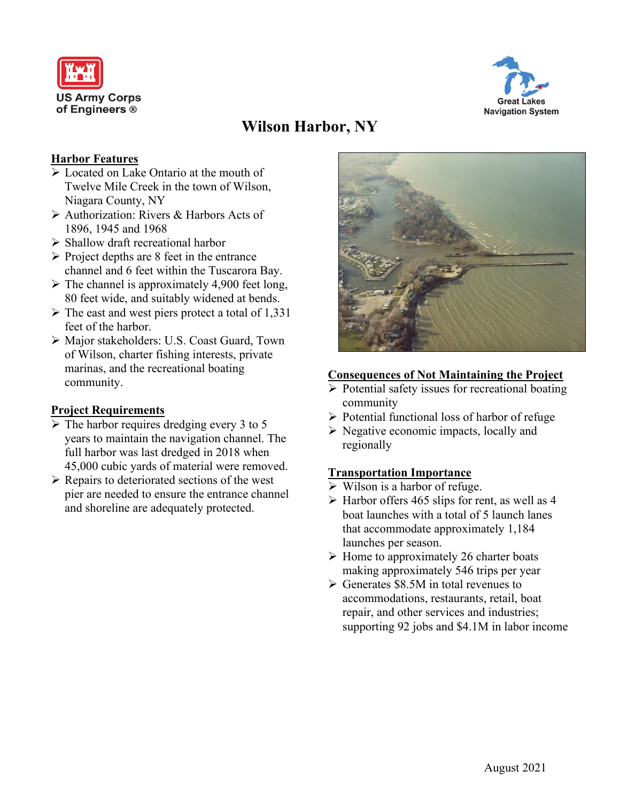



# **Wilson Harbor, NY**

# **Harbor Features**

- Located on Lake Ontario at the mouth of Twelve Mile Creek in the town of Wilson, Niagara County, NY
- Authorization: Rivers & Harbors Acts of 1896, 1945 and 1968
- $\triangleright$  Shallow draft recreational harbor
- $\triangleright$  Project depths are 8 feet in the entrance channel and 6 feet within the Tuscarora Bay.
- $\triangleright$  The channel is approximately 4,900 feet long, 80 feet wide, and suitably widened at bends.
- $\triangleright$  The east and west piers protect a total of 1,331 feet of the harbor.
- Major stakeholders: U.S. Coast Guard, Town of Wilson, charter fishing interests, private marinas, and the recreational boating community.

# **Project Requirements**

- $\triangleright$  The harbor requires dredging every 3 to 5 years to maintain the navigation channel. The full harbor was last dredged in 2018 when 45,000 cubic yards of material were removed.
- $\triangleright$  Repairs to deteriorated sections of the west pier are needed to ensure the entrance channel and shoreline are adequately protected.



#### **Consequences of Not Maintaining the Project**

- $\triangleright$  Potential safety issues for recreational boating community
- $\triangleright$  Potential functional loss of harbor of refuge
- $\triangleright$  Negative economic impacts, locally and regionally

# **Transportation Importance**

- $\triangleright$  Wilson is a harbor of refuge.
- $\triangleright$  Harbor offers 465 slips for rent, as well as 4 boat launches with a total of 5 launch lanes that accommodate approximately 1,184 launches per season.
- $\triangleright$  Home to approximately 26 charter boats making approximately 546 trips per year
- $\triangleright$  Generates \$8.5M in total revenues to accommodations, restaurants, retail, boat repair, and other services and industries; supporting 92 jobs and \$4.1M in labor income